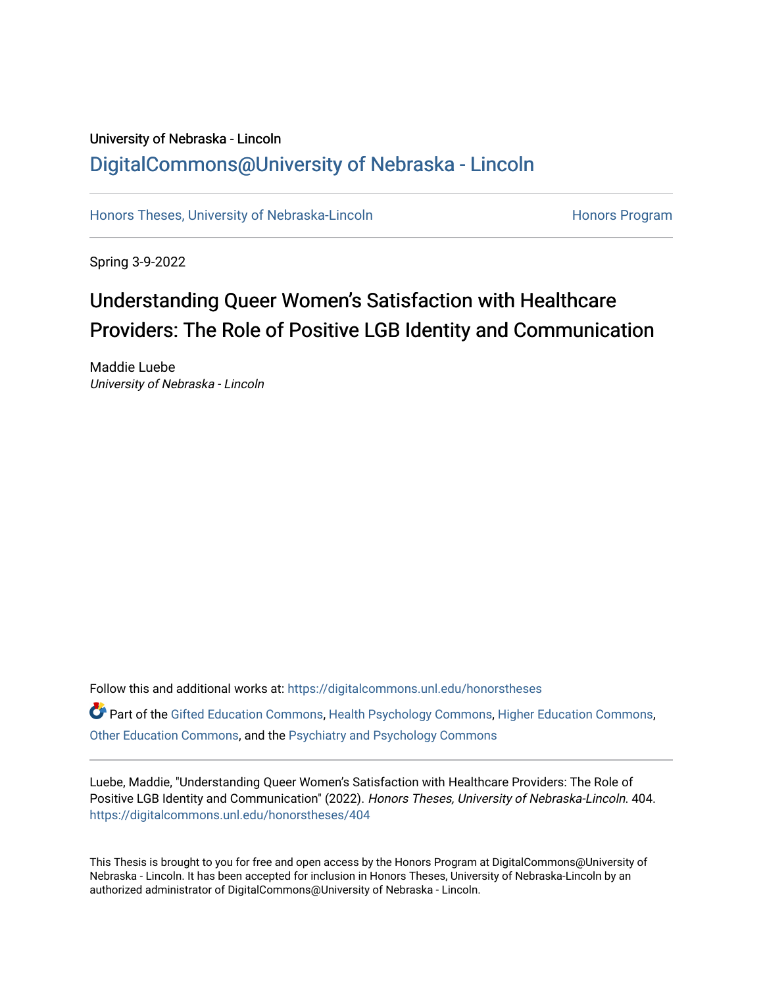# University of Nebraska - Lincoln [DigitalCommons@University of Nebraska - Lincoln](https://digitalcommons.unl.edu/)

[Honors Theses, University of Nebraska-Lincoln](https://digitalcommons.unl.edu/honorstheses) **Honors Program** Honors Program

Spring 3-9-2022

# Understanding Queer Women's Satisfaction with Healthcare Providers: The Role of Positive LGB Identity and Communication

Maddie Luebe University of Nebraska - Lincoln

Follow this and additional works at: [https://digitalcommons.unl.edu/honorstheses](https://digitalcommons.unl.edu/honorstheses?utm_source=digitalcommons.unl.edu%2Fhonorstheses%2F404&utm_medium=PDF&utm_campaign=PDFCoverPages) Part of the [Gifted Education Commons,](http://network.bepress.com/hgg/discipline/1048?utm_source=digitalcommons.unl.edu%2Fhonorstheses%2F404&utm_medium=PDF&utm_campaign=PDFCoverPages) [Health Psychology Commons](http://network.bepress.com/hgg/discipline/411?utm_source=digitalcommons.unl.edu%2Fhonorstheses%2F404&utm_medium=PDF&utm_campaign=PDFCoverPages), [Higher Education Commons](http://network.bepress.com/hgg/discipline/1245?utm_source=digitalcommons.unl.edu%2Fhonorstheses%2F404&utm_medium=PDF&utm_campaign=PDFCoverPages), [Other Education Commons,](http://network.bepress.com/hgg/discipline/811?utm_source=digitalcommons.unl.edu%2Fhonorstheses%2F404&utm_medium=PDF&utm_campaign=PDFCoverPages) and the [Psychiatry and Psychology Commons](http://network.bepress.com/hgg/discipline/908?utm_source=digitalcommons.unl.edu%2Fhonorstheses%2F404&utm_medium=PDF&utm_campaign=PDFCoverPages)

Luebe, Maddie, "Understanding Queer Women's Satisfaction with Healthcare Providers: The Role of Positive LGB Identity and Communication" (2022). Honors Theses, University of Nebraska-Lincoln. 404. [https://digitalcommons.unl.edu/honorstheses/404](https://digitalcommons.unl.edu/honorstheses/404?utm_source=digitalcommons.unl.edu%2Fhonorstheses%2F404&utm_medium=PDF&utm_campaign=PDFCoverPages)

This Thesis is brought to you for free and open access by the Honors Program at DigitalCommons@University of Nebraska - Lincoln. It has been accepted for inclusion in Honors Theses, University of Nebraska-Lincoln by an authorized administrator of DigitalCommons@University of Nebraska - Lincoln.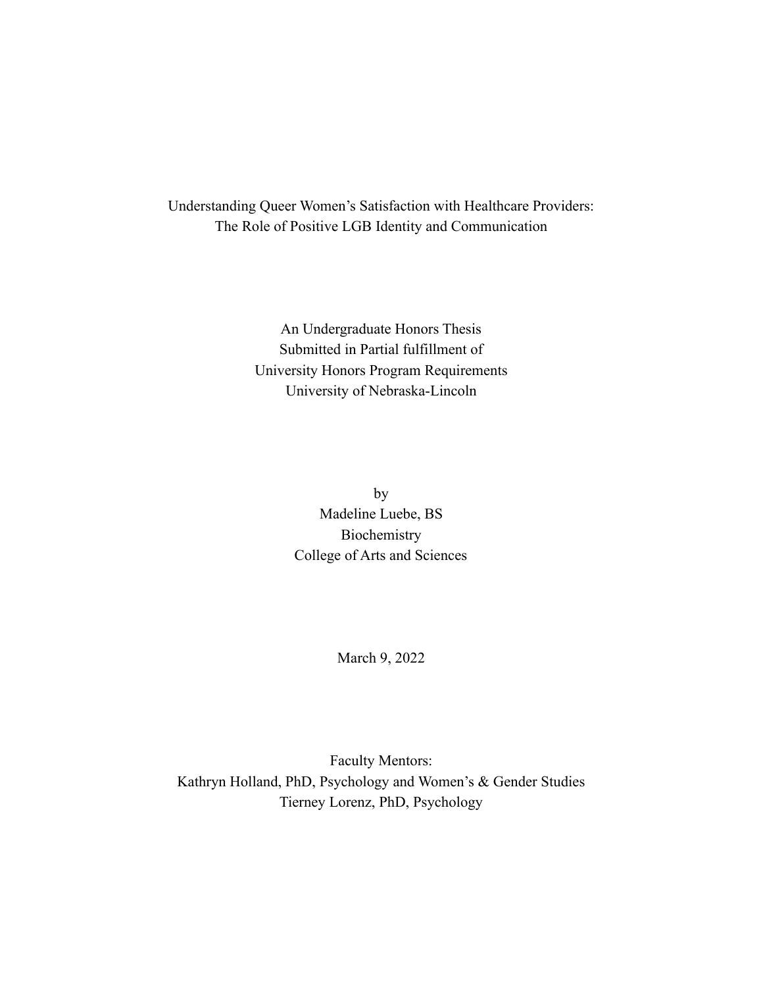Understanding Queer Women's Satisfaction with Healthcare Providers: The Role of Positive LGB Identity and Communication

> An Undergraduate Honors Thesis Submitted in Partial fulfillment of University Honors Program Requirements University of Nebraska-Lincoln

> > by Madeline Luebe, BS Biochemistry College of Arts and Sciences

> > > March 9, 2022

Faculty Mentors: Kathryn Holland, PhD, Psychology and Women's & Gender Studies Tierney Lorenz, PhD, Psychology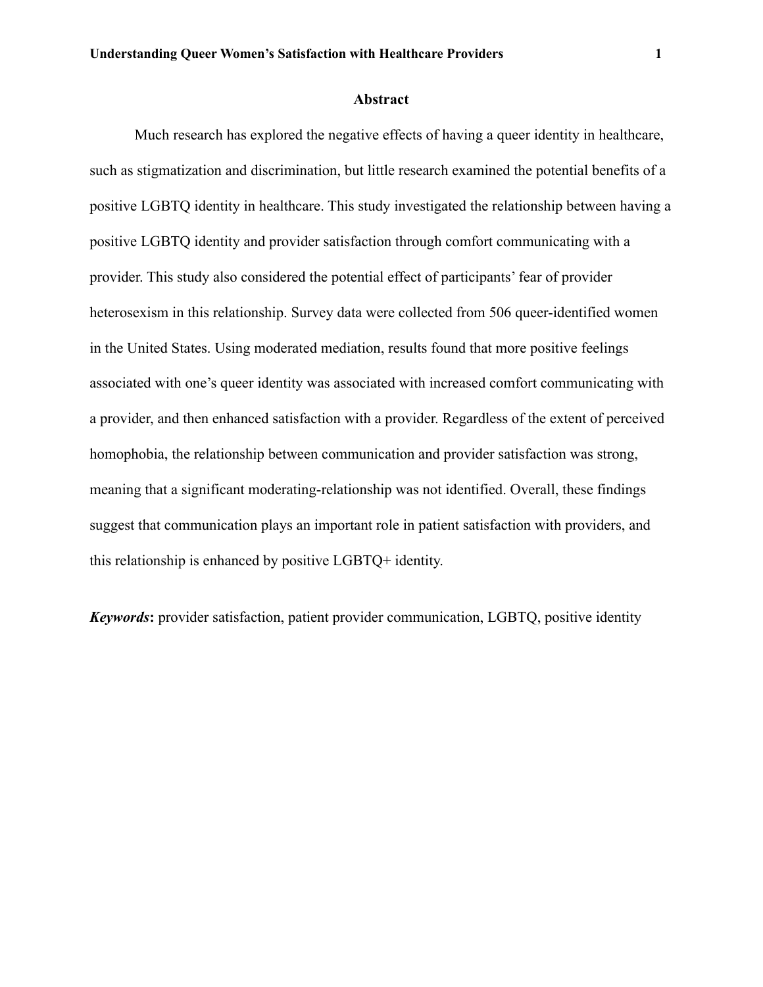#### **Abstract**

Much research has explored the negative effects of having a queer identity in healthcare, such as stigmatization and discrimination, but little research examined the potential benefits of a positive LGBTQ identity in healthcare. This study investigated the relationship between having a positive LGBTQ identity and provider satisfaction through comfort communicating with a provider. This study also considered the potential effect of participants' fear of provider heterosexism in this relationship. Survey data were collected from 506 queer-identified women in the United States. Using moderated mediation, results found that more positive feelings associated with one's queer identity was associated with increased comfort communicating with a provider, and then enhanced satisfaction with a provider. Regardless of the extent of perceived homophobia, the relationship between communication and provider satisfaction was strong, meaning that a significant moderating-relationship was not identified. Overall, these findings suggest that communication plays an important role in patient satisfaction with providers, and this relationship is enhanced by positive LGBTQ+ identity.

*Keywords***:** provider satisfaction, patient provider communication, LGBTQ, positive identity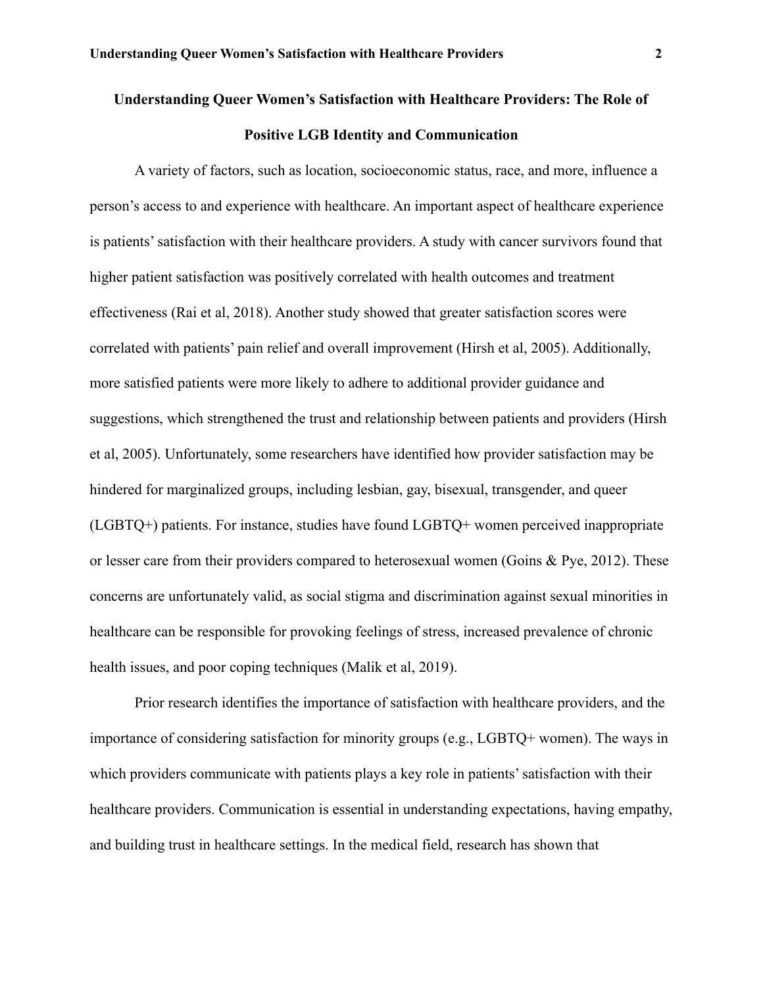# **Understanding Queer Women's Satisfaction with Healthcare Providers: The Role of Positive LGB Identity and Communication**

A variety of factors, such as location, socioeconomic status, race, and more, influence a person's access to and experience with healthcare. An important aspect of healthcare experience is patients' satisfaction with their healthcare providers. A study with cancer survivors found that higher patient satisfaction was positively correlated with health outcomes and treatment effectiveness (Rai et al, 2018). Another study showed that greater satisfaction scores were correlated with patients' pain relief and overall improvement (Hirsh et al, 2005). Additionally, more satisfied patients were more likely to adhere to additional provider guidance and suggestions, which strengthened the trust and relationship between patients and providers (Hirsh et al, 2005). Unfortunately, some researchers have identified how provider satisfaction may be hindered for marginalized groups, including lesbian, gay, bisexual, transgender, and queer (LGBTQ+) patients. For instance, studies have found LGBTQ+ women perceived inappropriate or lesser care from their providers compared to heterosexual women (Goins & Pye, 2012). These concerns are unfortunately valid, as social stigma and discrimination against sexual minorities in healthcare can be responsible for provoking feelings of stress, increased prevalence of chronic health issues, and poor coping techniques (Malik et al, 2019).

Prior research identifies the importance of satisfaction with healthcare providers, and the importance of considering satisfaction for minority groups (e.g., LGBTQ+ women). The ways in which providers communicate with patients plays a key role in patients' satisfaction with their healthcare providers. Communication is essential in understanding expectations, having empathy, and building trust in healthcare settings. In the medical field, research has shown that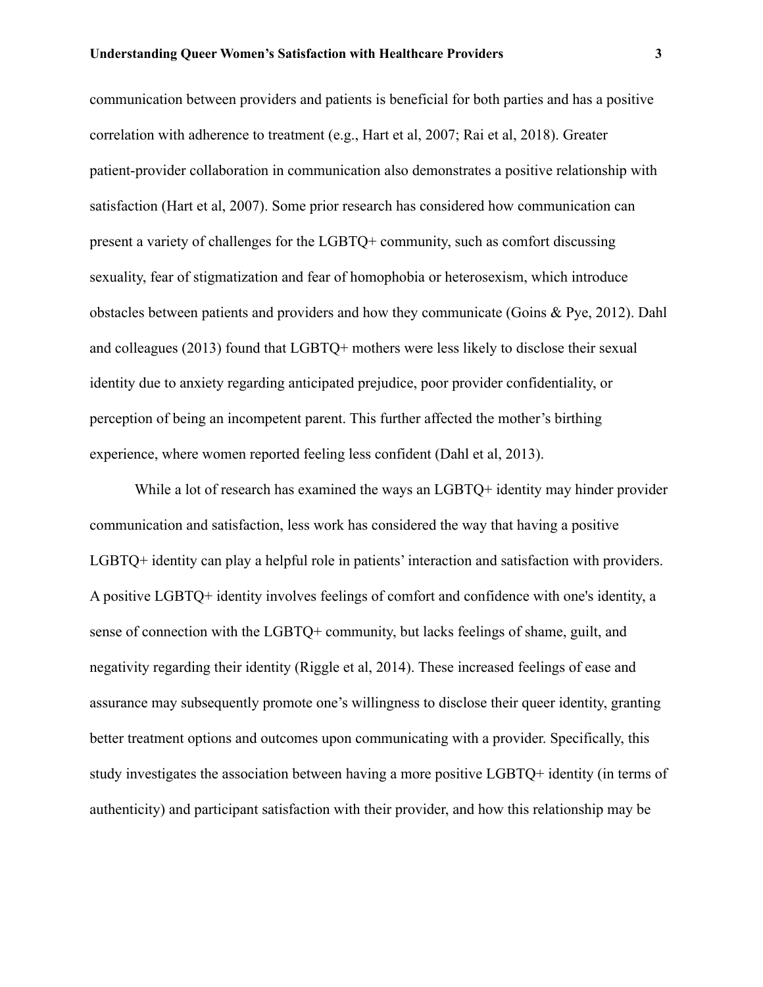communication between providers and patients is beneficial for both parties and has a positive correlation with adherence to treatment (e.g., Hart et al, 2007; Rai et al, 2018). Greater patient-provider collaboration in communication also demonstrates a positive relationship with satisfaction (Hart et al, 2007). Some prior research has considered how communication can present a variety of challenges for the LGBTQ+ community, such as comfort discussing sexuality, fear of stigmatization and fear of homophobia or heterosexism, which introduce obstacles between patients and providers and how they communicate (Goins & Pye, 2012). Dahl and colleagues (2013) found that LGBTQ+ mothers were less likely to disclose their sexual identity due to anxiety regarding anticipated prejudice, poor provider confidentiality, or perception of being an incompetent parent. This further affected the mother's birthing experience, where women reported feeling less confident (Dahl et al, 2013).

While a lot of research has examined the ways an LGBTQ+ identity may hinder provider communication and satisfaction, less work has considered the way that having a positive LGBTQ+ identity can play a helpful role in patients' interaction and satisfaction with providers. A positive LGBTQ+ identity involves feelings of comfort and confidence with one's identity, a sense of connection with the LGBTQ+ community, but lacks feelings of shame, guilt, and negativity regarding their identity (Riggle et al, 2014). These increased feelings of ease and assurance may subsequently promote one's willingness to disclose their queer identity, granting better treatment options and outcomes upon communicating with a provider. Specifically, this study investigates the association between having a more positive LGBTQ+ identity (in terms of authenticity) and participant satisfaction with their provider, and how this relationship may be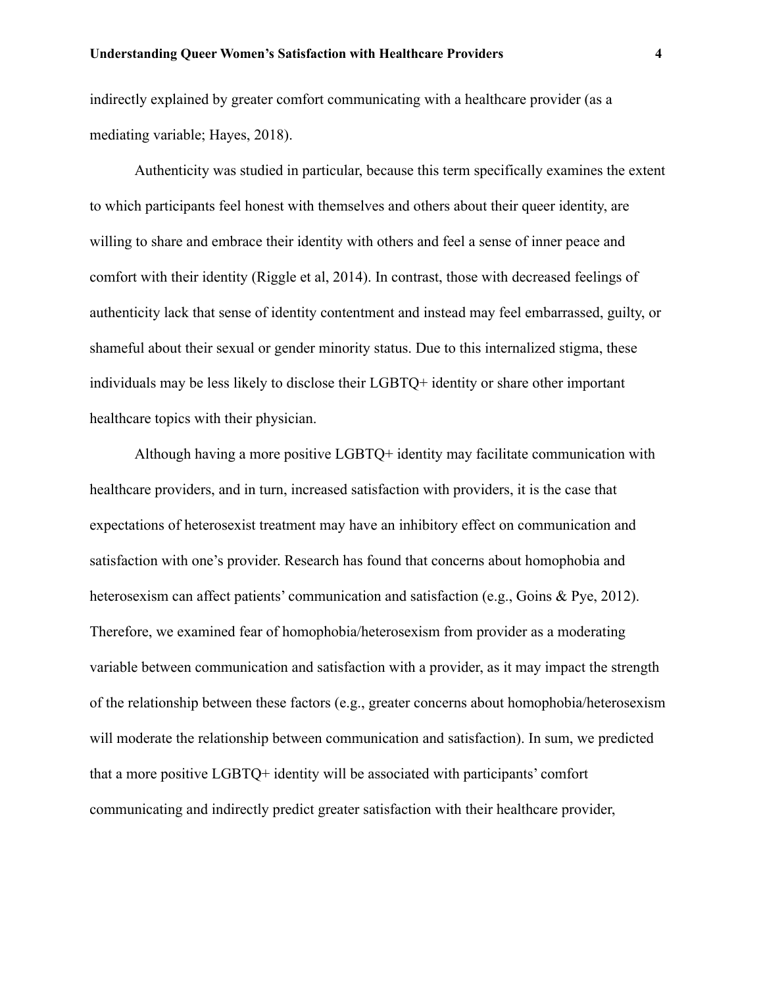indirectly explained by greater comfort communicating with a healthcare provider (as a mediating variable; Hayes, 2018).

Authenticity was studied in particular, because this term specifically examines the extent to which participants feel honest with themselves and others about their queer identity, are willing to share and embrace their identity with others and feel a sense of inner peace and comfort with their identity (Riggle et al, 2014). In contrast, those with decreased feelings of authenticity lack that sense of identity contentment and instead may feel embarrassed, guilty, or shameful about their sexual or gender minority status. Due to this internalized stigma, these individuals may be less likely to disclose their LGBTQ+ identity or share other important healthcare topics with their physician.

Although having a more positive LGBTQ+ identity may facilitate communication with healthcare providers, and in turn, increased satisfaction with providers, it is the case that expectations of heterosexist treatment may have an inhibitory effect on communication and satisfaction with one's provider. Research has found that concerns about homophobia and heterosexism can affect patients' communication and satisfaction (e.g., Goins & Pye, 2012). Therefore, we examined fear of homophobia/heterosexism from provider as a moderating variable between communication and satisfaction with a provider, as it may impact the strength of the relationship between these factors (e.g., greater concerns about homophobia/heterosexism will moderate the relationship between communication and satisfaction). In sum, we predicted that a more positive LGBTQ+ identity will be associated with participants' comfort communicating and indirectly predict greater satisfaction with their healthcare provider,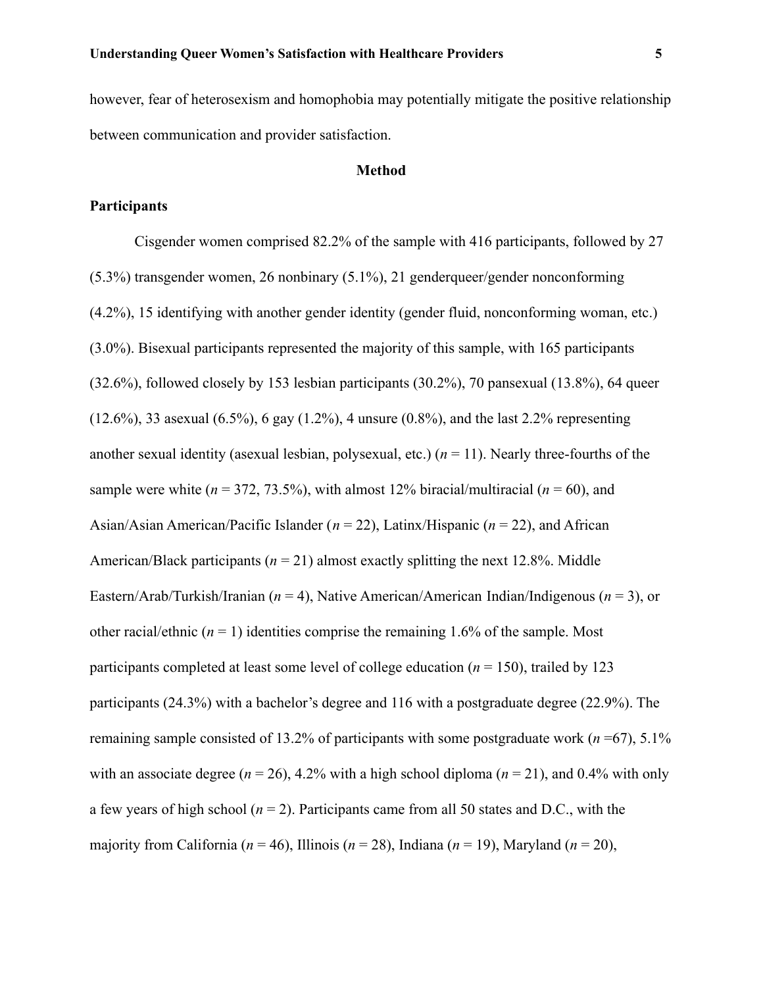however, fear of heterosexism and homophobia may potentially mitigate the positive relationship

between communication and provider satisfaction.

## **Method**

# **Participants**

Cisgender women comprised 82.2% of the sample with 416 participants, followed by 27 (5.3%) transgender women, 26 nonbinary (5.1%), 21 genderqueer/gender nonconforming (4.2%), 15 identifying with another gender identity (gender fluid, nonconforming woman, etc.) (3.0%). Bisexual participants represented the majority of this sample, with 165 participants (32.6%), followed closely by 153 lesbian participants (30.2%), 70 pansexual (13.8%), 64 queer  $(12.6\%)$ , 33 asexual  $(6.5\%)$ , 6 gay  $(1.2\%)$ , 4 unsure  $(0.8\%)$ , and the last 2.2% representing another sexual identity (asexual lesbian, polysexual, etc.)  $(n = 11)$ . Nearly three-fourths of the sample were white  $(n = 372, 73.5%)$ , with almost 12% biracial/multiracial  $(n = 60)$ , and Asian/Asian American/Pacific Islander (*n* = 22), Latinx/Hispanic (*n* = 22), and African American/Black participants ( $n = 21$ ) almost exactly splitting the next 12.8%. Middle Eastern/Arab/Turkish/Iranian (*n* = 4), Native American/American Indian/Indigenous (*n* = 3), or other racial/ethnic  $(n = 1)$  identities comprise the remaining 1.6% of the sample. Most participants completed at least some level of college education ( $n = 150$ ), trailed by 123 participants (24.3%) with a bachelor's degree and 116 with a postgraduate degree (22.9%). The remaining sample consisted of 13.2% of participants with some postgraduate work (*n* =67), 5.1% with an associate degree ( $n = 26$ ), 4.2% with a high school diploma ( $n = 21$ ), and 0.4% with only a few years of high school ( $n = 2$ ). Participants came from all 50 states and D.C., with the majority from California ( $n = 46$ ), Illinois ( $n = 28$ ), Indiana ( $n = 19$ ), Maryland ( $n = 20$ ),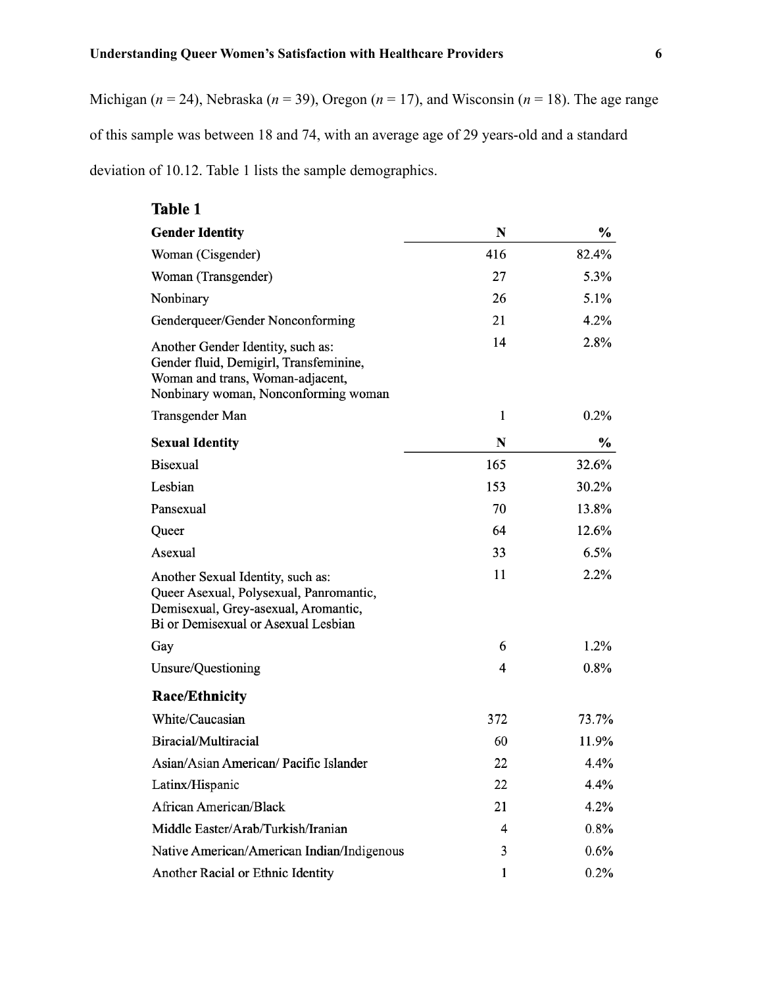Michigan ( $n = 24$ ), Nebraska ( $n = 39$ ), Oregon ( $n = 17$ ), and Wisconsin ( $n = 18$ ). The age range of this sample was between 18 and 74, with an average age of 29 years-old and a standard deviation of 10.12. Table 1 lists the sample demographics.

# Table 1

| <b>Gender Identity</b>                                                                                                                                      | N            | $\frac{0}{0}$ |
|-------------------------------------------------------------------------------------------------------------------------------------------------------------|--------------|---------------|
| Woman (Cisgender)                                                                                                                                           | 416          | 82.4%         |
| Woman (Transgender)                                                                                                                                         | 27           | 5.3%          |
| Nonbinary                                                                                                                                                   | 26           | 5.1%          |
| Genderqueer/Gender Nonconforming                                                                                                                            | 21           | 4.2%          |
| Another Gender Identity, such as:<br>Gender fluid, Demigirl, Transfeminine,<br>Woman and trans, Woman-adjacent,<br>Nonbinary woman, Nonconforming woman     | 14           | 2.8%          |
| Transgender Man                                                                                                                                             | $\mathbf{1}$ | 0.2%          |
| <b>Sexual Identity</b>                                                                                                                                      | N            | $\frac{1}{2}$ |
| <b>Bisexual</b>                                                                                                                                             | 165          | 32.6%         |
| Lesbian                                                                                                                                                     | 153          | 30.2%         |
| Pansexual                                                                                                                                                   | 70           | 13.8%         |
| Queer                                                                                                                                                       | 64           | 12.6%         |
| Asexual                                                                                                                                                     | 33           | 6.5%          |
| Another Sexual Identity, such as:<br>Queer Asexual, Polysexual, Panromantic,<br>Demisexual, Grey-asexual, Aromantic,<br>Bi or Demisexual or Asexual Lesbian | 11           | 2.2%          |
| Gay                                                                                                                                                         | 6            | 1.2%          |
| Unsure/Questioning                                                                                                                                          | 4            | 0.8%          |
| <b>Race/Ethnicity</b>                                                                                                                                       |              |               |
| White/Caucasian                                                                                                                                             | 372          | 73.7%         |
| Biracial/Multiracial                                                                                                                                        | 60           | 11.9%         |
| Asian/Asian American/ Pacific Islander                                                                                                                      | 22           | 4.4%          |
| Latinx/Hispanic                                                                                                                                             | 22           | 4.4%          |
| <b>African American/Black</b>                                                                                                                               | 21           | 4.2%          |
| Middle Easter/Arab/Turkish/Iranian                                                                                                                          | 4            | $0.8\%$       |
| Native American/American Indian/Indigenous                                                                                                                  | 3            | 0.6%          |
| Another Racial or Ethnic Identity                                                                                                                           | 1            | $0.2\%$       |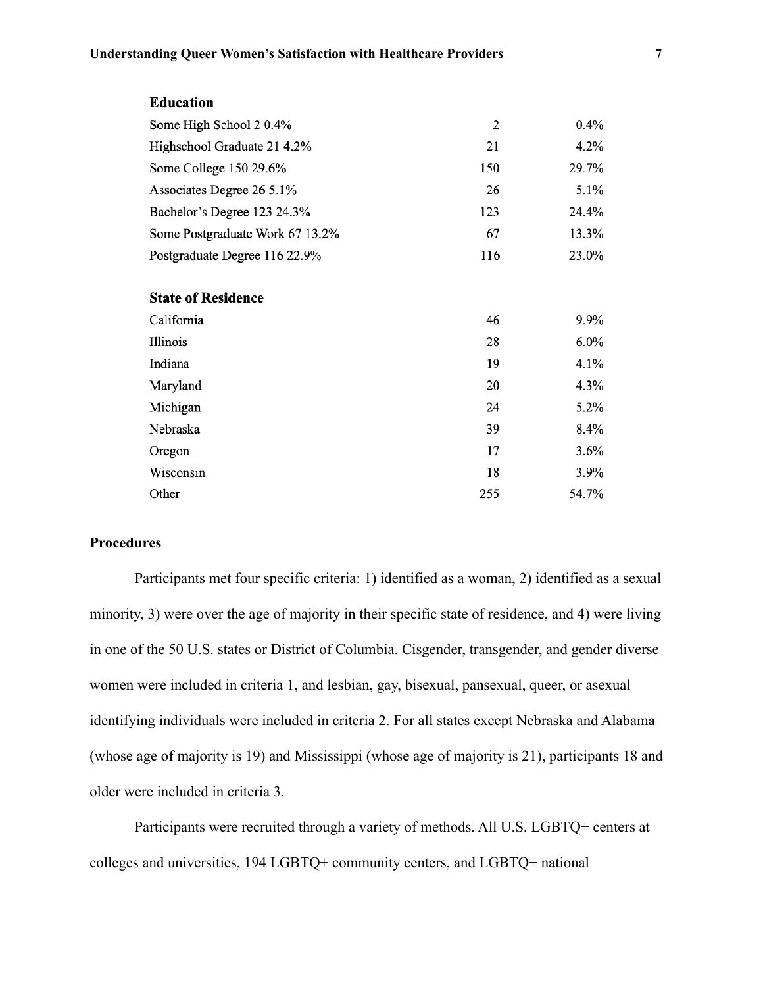| <b>Education</b>                |                |       |
|---------------------------------|----------------|-------|
| Some High School 20.4%          | $\overline{2}$ | 0.4%  |
| Highschool Graduate 21 4.2%     | 21             | 4.2%  |
| Some College 150 29.6%          | 150            | 29.7% |
| Associates Degree 26 5.1%       | 26             | 5.1%  |
| Bachelor's Degree 123 24.3%     | 123            | 24.4% |
| Some Postgraduate Work 67 13.2% | 67             | 13.3% |
| Postgraduate Degree 116 22.9%   | 116            | 23.0% |
|                                 |                |       |
| <b>State of Residence</b>       |                |       |
| California                      | 46             | 9.9%  |
| Illinois                        | 28             | 6.0%  |
| Indiana                         | 19             | 4.1%  |
| Maryland                        | 20             | 4.3%  |
| Michigan                        | 24             | 5.2%  |
| Nebraska                        | 39             | 8.4%  |
| Oregon                          | 17             | 3.6%  |
| Wisconsin                       | 18             | 3.9%  |
| Other                           | 255            | 54.7% |

# **Procedures**

Participants met four specific criteria: 1) identified as a woman, 2) identified as a sexual minority, 3) were over the age of majority in their specific state of residence, and 4) were living in one of the 50 U.S. states or District of Columbia. Cisgender, transgender, and gender diverse women were included in criteria 1, and lesbian, gay, bisexual, pansexual, queer, or asexual identifying individuals were included in criteria 2. For all states except Nebraska and Alabama (whose age of majority is 19) and Mississippi (whose age of majority is 21), participants 18 and older were included in criteria 3.

Participants were recruited through a variety of methods. All U.S. LGBTQ+ centers at colleges and universities, 194 LGBTQ+ community centers, and LGBTQ+ national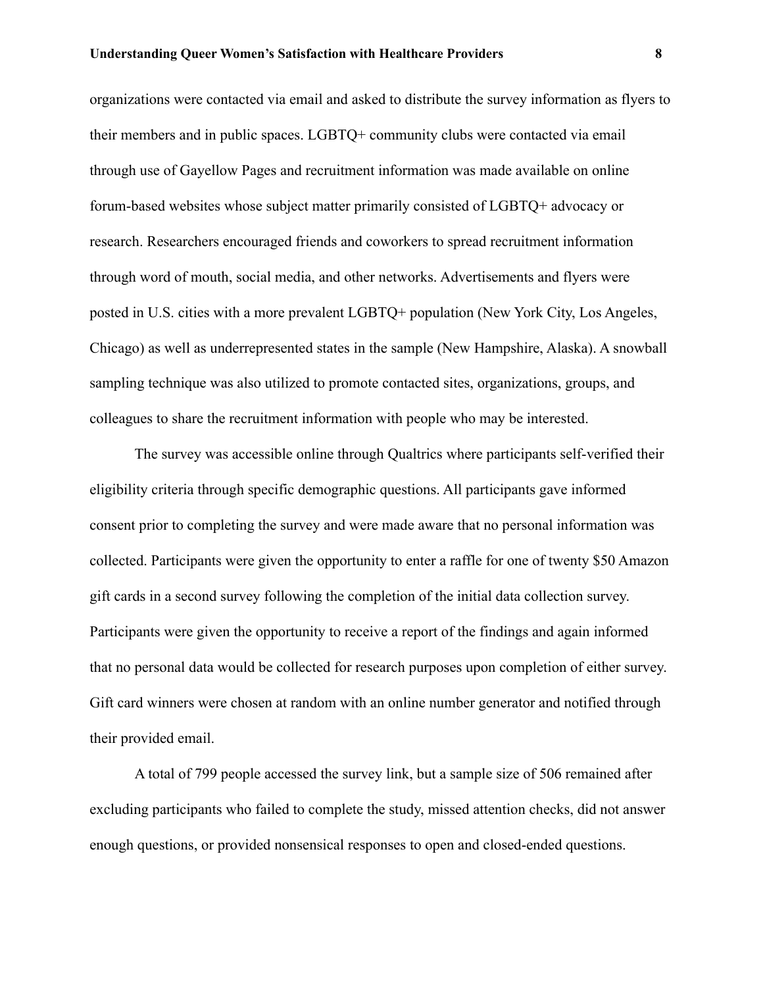organizations were contacted via email and asked to distribute the survey information as flyers to their members and in public spaces. LGBTQ+ community clubs were contacted via email through use of Gayellow Pages and recruitment information was made available on online forum-based websites whose subject matter primarily consisted of LGBTQ+ advocacy or research. Researchers encouraged friends and coworkers to spread recruitment information through word of mouth, social media, and other networks. Advertisements and flyers were posted in U.S. cities with a more prevalent LGBTQ+ population (New York City, Los Angeles, Chicago) as well as underrepresented states in the sample (New Hampshire, Alaska). A snowball sampling technique was also utilized to promote contacted sites, organizations, groups, and colleagues to share the recruitment information with people who may be interested.

The survey was accessible online through Qualtrics where participants self-verified their eligibility criteria through specific demographic questions. All participants gave informed consent prior to completing the survey and were made aware that no personal information was collected. Participants were given the opportunity to enter a raffle for one of twenty \$50 Amazon gift cards in a second survey following the completion of the initial data collection survey. Participants were given the opportunity to receive a report of the findings and again informed that no personal data would be collected for research purposes upon completion of either survey. Gift card winners were chosen at random with an online number generator and notified through their provided email.

A total of 799 people accessed the survey link, but a sample size of 506 remained after excluding participants who failed to complete the study, missed attention checks, did not answer enough questions, or provided nonsensical responses to open and closed-ended questions.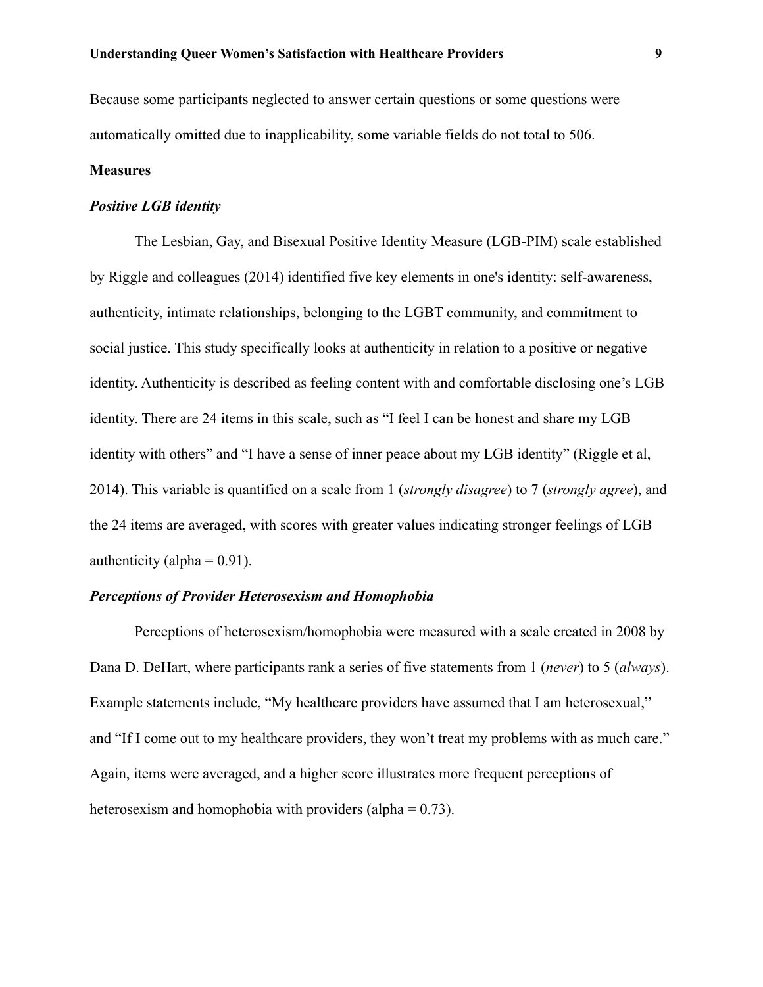Because some participants neglected to answer certain questions or some questions were automatically omitted due to inapplicability, some variable fields do not total to 506.

## **Measures**

# *Positive LGB identity*

The Lesbian, Gay, and Bisexual Positive Identity Measure (LGB-PIM) scale established by Riggle and colleagues (2014) identified five key elements in one's identity: self-awareness, authenticity, intimate relationships, belonging to the LGBT community, and commitment to social justice. This study specifically looks at authenticity in relation to a positive or negative identity. Authenticity is described as feeling content with and comfortable disclosing one's LGB identity. There are 24 items in this scale, such as "I feel I can be honest and share my LGB identity with others" and "I have a sense of inner peace about my LGB identity" (Riggle et al, 2014). This variable is quantified on a scale from 1 (*strongly disagree*) to 7 (*strongly agree*), and the 24 items are averaged, with scores with greater values indicating stronger feelings of LGB authenticity (alpha  $= 0.91$ ).

# *Perceptions of Provider Heterosexism and Homophobia*

Perceptions of heterosexism/homophobia were measured with a scale created in 2008 by Dana D. DeHart, where participants rank a series of five statements from 1 (*never*) to 5 (*always*). Example statements include, "My healthcare providers have assumed that I am heterosexual," and "If I come out to my healthcare providers, they won't treat my problems with as much care." Again, items were averaged, and a higher score illustrates more frequent perceptions of heterosexism and homophobia with providers (alpha  $= 0.73$ ).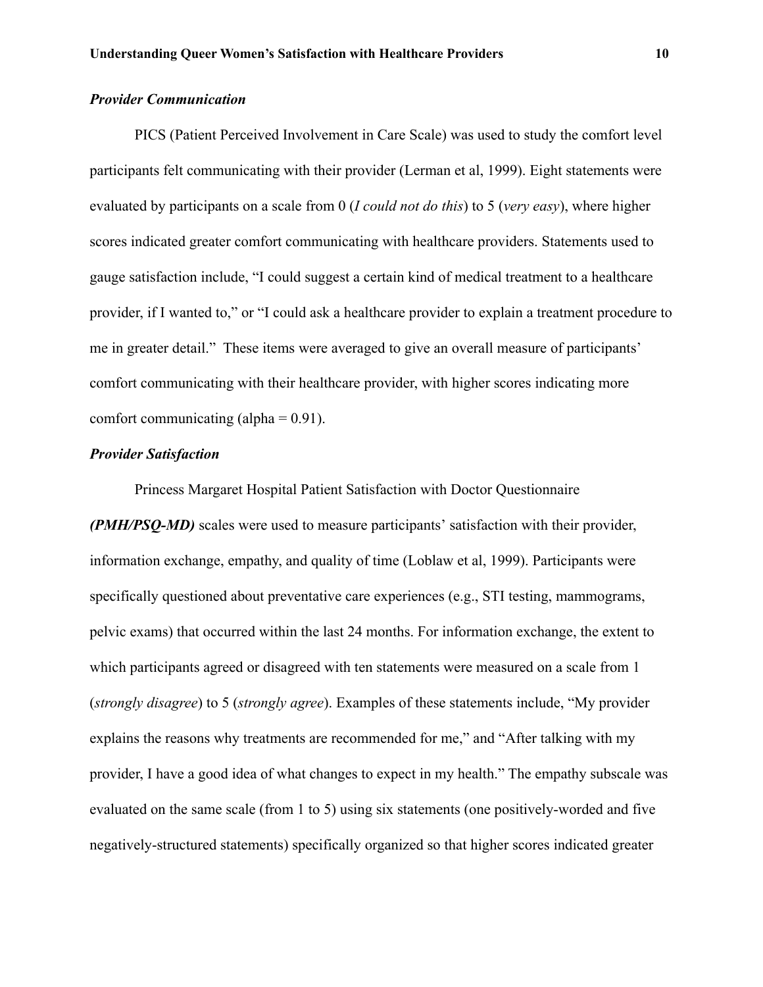# *Provider Communication*

PICS (Patient Perceived Involvement in Care Scale) was used to study the comfort level participants felt communicating with their provider (Lerman et al, 1999). Eight statements were evaluated by participants on a scale from 0 (*I could not do this*) to 5 (*very easy*), where higher scores indicated greater comfort communicating with healthcare providers. Statements used to gauge satisfaction include, "I could suggest a certain kind of medical treatment to a healthcare provider, if I wanted to," or "I could ask a healthcare provider to explain a treatment procedure to me in greater detail." These items were averaged to give an overall measure of participants' comfort communicating with their healthcare provider, with higher scores indicating more comfort communicating  $(alpha = 0.91)$ .

# *Provider Satisfaction*

Princess Margaret Hospital Patient Satisfaction with Doctor Questionnaire *(PMH/PSQ-MD)* scales were used to measure participants' satisfaction with their provider, information exchange, empathy, and quality of time (Loblaw et al, 1999). Participants were specifically questioned about preventative care experiences (e.g., STI testing, mammograms, pelvic exams) that occurred within the last 24 months. For information exchange, the extent to which participants agreed or disagreed with ten statements were measured on a scale from 1 (*strongly disagree*) to 5 (*strongly agree*). Examples of these statements include, "My provider explains the reasons why treatments are recommended for me," and "After talking with my provider, I have a good idea of what changes to expect in my health." The empathy subscale was evaluated on the same scale (from 1 to 5) using six statements (one positively-worded and five negatively-structured statements) specifically organized so that higher scores indicated greater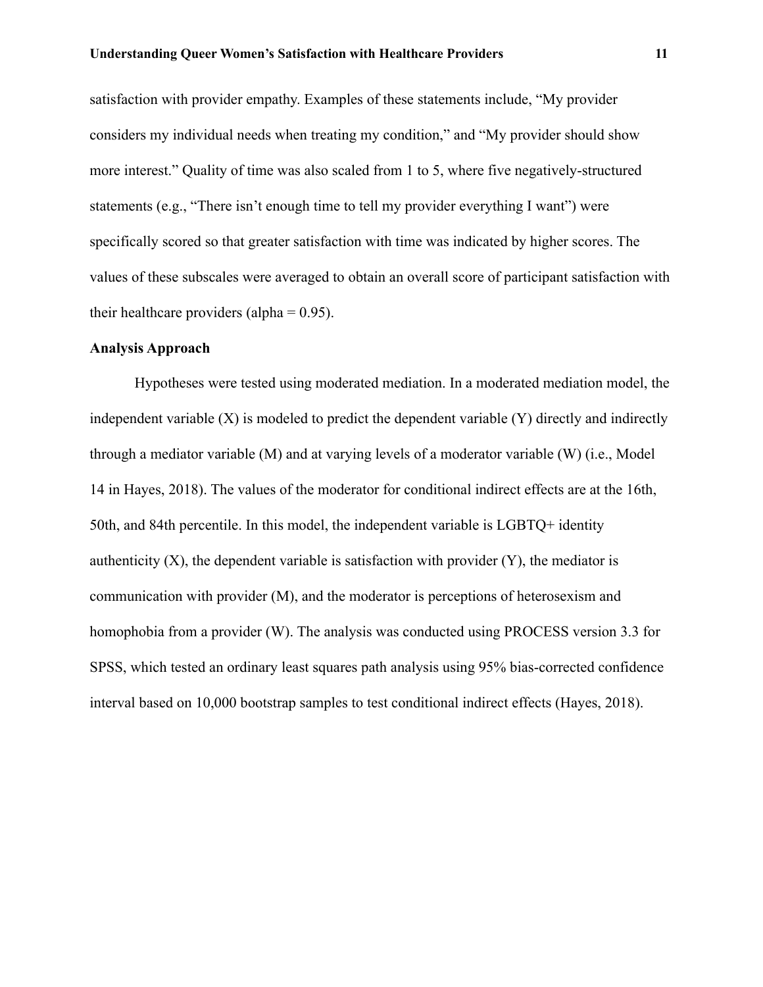satisfaction with provider empathy. Examples of these statements include, "My provider considers my individual needs when treating my condition," and "My provider should show more interest." Quality of time was also scaled from 1 to 5, where five negatively-structured statements (e.g., "There isn't enough time to tell my provider everything I want") were specifically scored so that greater satisfaction with time was indicated by higher scores. The values of these subscales were averaged to obtain an overall score of participant satisfaction with their healthcare providers (alpha  $= 0.95$ ).

## **Analysis Approach**

Hypotheses were tested using moderated mediation. In a moderated mediation model, the independent variable  $(X)$  is modeled to predict the dependent variable  $(Y)$  directly and indirectly through a mediator variable (M) and at varying levels of a moderator variable (W) (i.e., Model 14 in Hayes, 2018). The values of the moderator for conditional indirect effects are at the 16th, 50th, and 84th percentile. In this model, the independent variable is LGBTQ+ identity authenticity  $(X)$ , the dependent variable is satisfaction with provider  $(Y)$ , the mediator is communication with provider (M), and the moderator is perceptions of heterosexism and homophobia from a provider (W). The analysis was conducted using PROCESS version 3.3 for SPSS, which tested an ordinary least squares path analysis using 95% bias-corrected confidence interval based on 10,000 bootstrap samples to test conditional indirect effects (Hayes, 2018).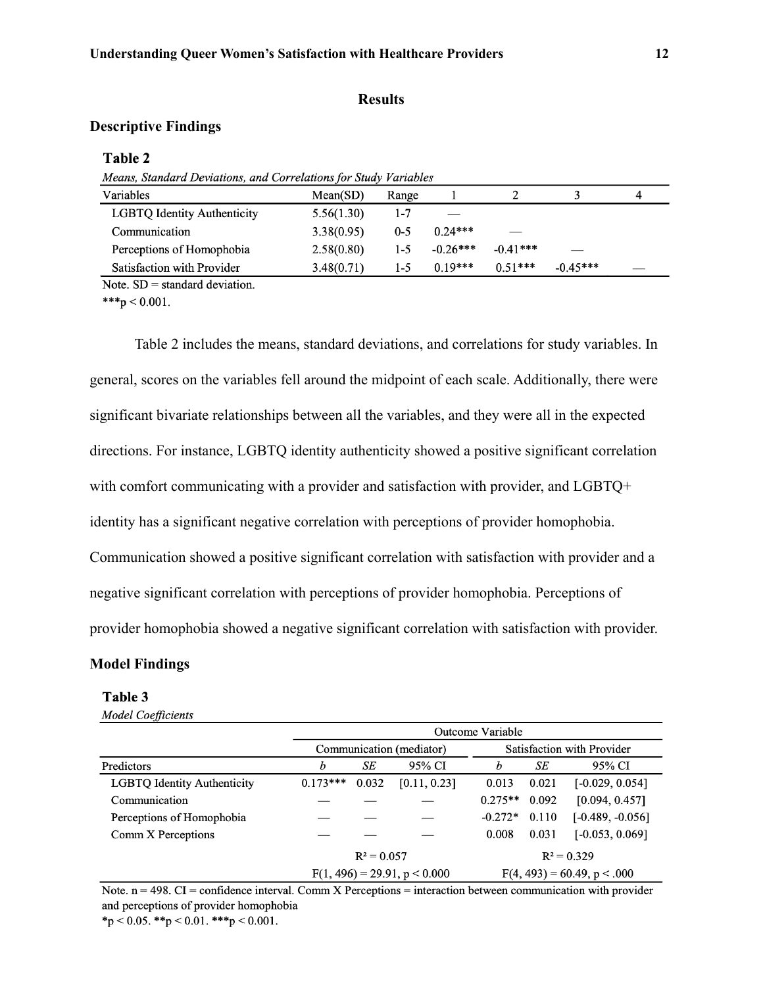## **Results**

# **Descriptive Findings**

### Table 2

| Means, Standard Deviations, and Correlations for Study Variables |  |
|------------------------------------------------------------------|--|
|------------------------------------------------------------------|--|

| Variables                          | Mean(SD)   | Range   |            |            |            | 4 |
|------------------------------------|------------|---------|------------|------------|------------|---|
| <b>LGBTQ Identity Authenticity</b> | 5.56(1.30) | 1-7     |            |            |            |   |
| Communication                      | 3.38(0.95) | $0 - 5$ | $0.24***$  | __         |            |   |
| Perceptions of Homophobia          | 2.58(0.80) | 1-5     | $-0.26***$ | $-0.41***$ | __         |   |
| Satisfaction with Provider         | 3.48(0.71) | 1-5     | $0.19***$  | $0.51***$  | $-0.45***$ |   |

Note.  $SD =$  standard deviation.

\*\*\*p < 0.001.

Table 2 includes the means, standard deviations, and correlations for study variables. In general, scores on the variables fell around the midpoint of each scale. Additionally, there were significant bivariate relationships between all the variables, and they were all in the expected directions. For instance, LGBTQ identity authenticity showed a positive significant correlation with comfort communicating with a provider and satisfaction with provider, and LGBTQ+ identity has a significant negative correlation with perceptions of provider homophobia. Communication showed a positive significant correlation with satisfaction with provider and a negative significant correlation with perceptions of provider homophobia. Perceptions of provider homophobia showed a negative significant correlation with satisfaction with provider.

## **Model Findings**

#### Table 3

**Model Coefficients** 

|                             |            |               |                                | Outcome Variable |       |                                |
|-----------------------------|------------|---------------|--------------------------------|------------------|-------|--------------------------------|
|                             |            |               | Communication (mediator)       |                  |       | Satisfaction with Provider     |
| Predictors                  | h          | SE            | 95% CI                         | h                | SЕ    | 95% CI                         |
| LGBTQ Identity Authenticity | $0.173***$ | 0.032         | [0.11, 0.23]                   | 0.013            | 0.021 | $[-0.029, 0.054]$              |
| Communication               |            |               |                                | $0.275**$        | 0.092 | [0.094, 0.457]                 |
| Perceptions of Homophobia   |            |               |                                | $-0.272*$        | 0.110 | $[-0.489, -0.056]$             |
| Comm X Perceptions          |            |               |                                | 0.008            | 0.031 | $[-0.053, 0.069]$              |
|                             |            | $R^2 = 0.057$ |                                |                  |       | $R^2 = 0.329$                  |
|                             |            |               | $F(1, 496) = 29.91, p < 0.000$ |                  |       | $F(4, 493) = 60.49$ , p < .000 |

Note.  $n = 498$ . CI = confidence interval. Comm X Perceptions = interaction between communication with provider and perceptions of provider homophobia \*p < 0.05. \*\*p < 0.01. \*\*\*p < 0.001.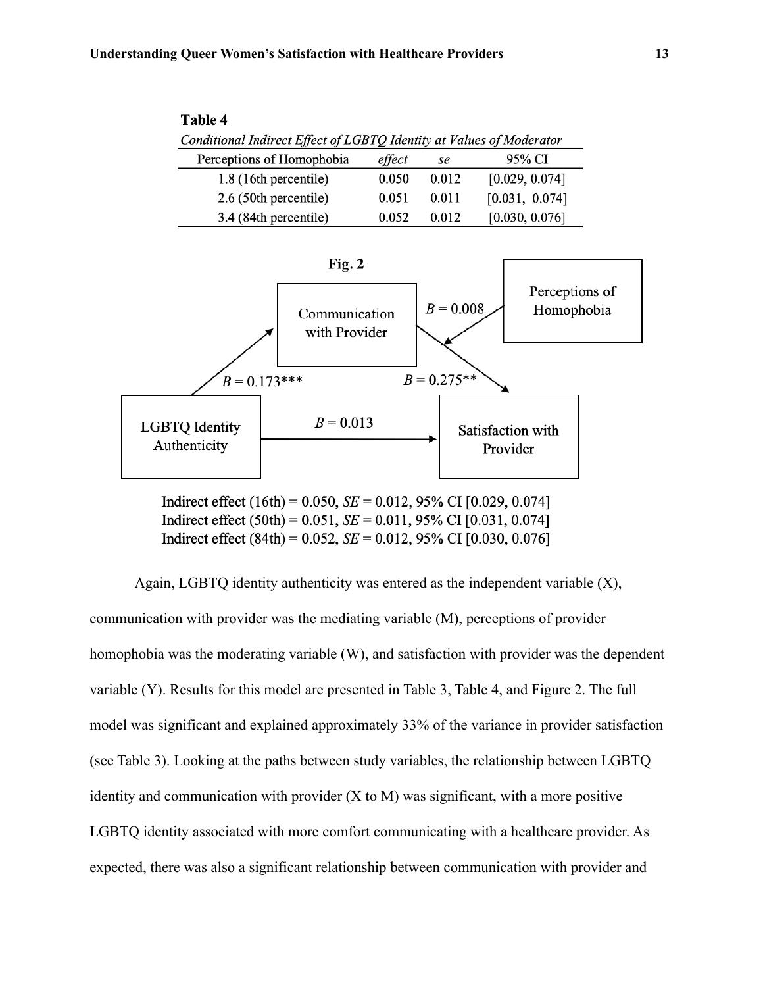| 1 able 4                                                             |        |       |                |  |  |
|----------------------------------------------------------------------|--------|-------|----------------|--|--|
| Conditional Indirect Effect of LGBTQ Identity at Values of Moderator |        |       |                |  |  |
| Perceptions of Homophobia                                            | effect | se    | 95% CI         |  |  |
| 1.8 (16th percentile)                                                | 0.050  | 0.012 | [0.029, 0.074] |  |  |
| 2.6 (50th percentile)                                                | 0.051  | 0.011 | [0.031, 0.074] |  |  |
| 3.4 (84th percentile)                                                | 0.052  | 0.012 | [0.030, 0.076] |  |  |



Indirect effect (16th) = 0.050,  $SE = 0.012$ , 95% CI [0.029, 0.074] Indirect effect  $(50th) = 0.051$ ,  $SE = 0.011$ , 95% CI [0.031, 0.074] Indirect effect (84th) = 0.052,  $SE = 0.012$ , 95% CI [0.030, 0.076]

Again, LGBTQ identity authenticity was entered as the independent variable (X), communication with provider was the mediating variable (M), perceptions of provider homophobia was the moderating variable (W), and satisfaction with provider was the dependent variable (Y). Results for this model are presented in Table 3, Table 4, and Figure 2. The full model was significant and explained approximately 33% of the variance in provider satisfaction (see Table 3). Looking at the paths between study variables, the relationship between LGBTQ identity and communication with provider  $(X \text{ to } M)$  was significant, with a more positive LGBTQ identity associated with more comfort communicating with a healthcare provider. As expected, there was also a significant relationship between communication with provider and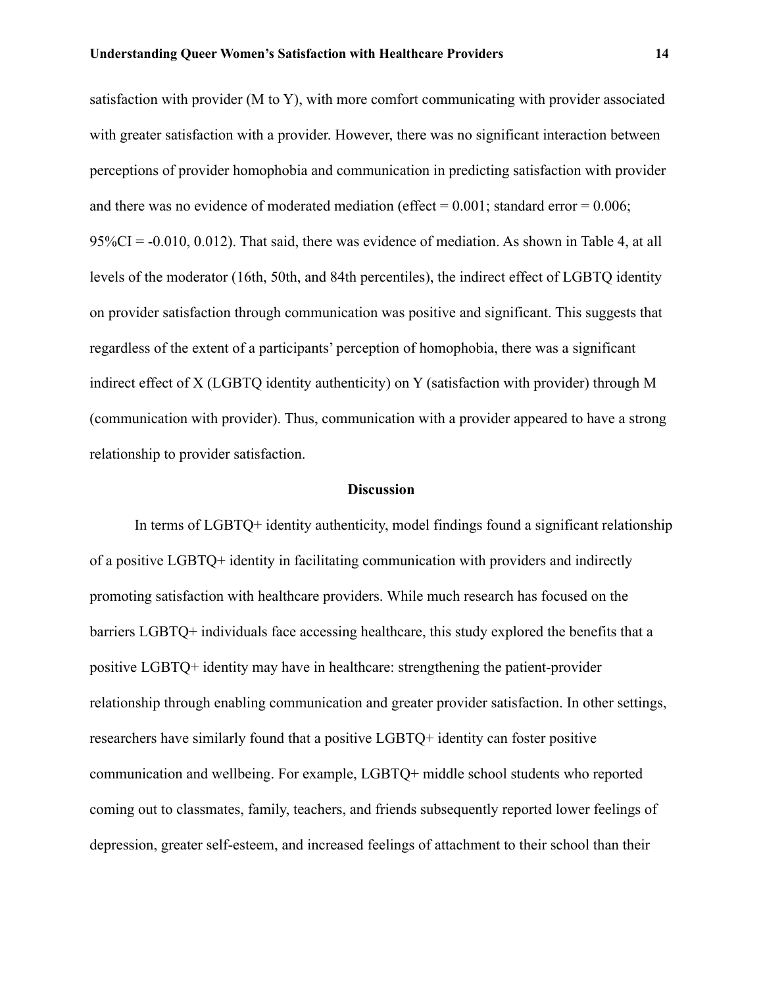satisfaction with provider (M to Y), with more comfort communicating with provider associated with greater satisfaction with a provider. However, there was no significant interaction between perceptions of provider homophobia and communication in predicting satisfaction with provider and there was no evidence of moderated mediation (effect  $= 0.001$ ; standard error  $= 0.006$ ;  $95\%CI = -0.010, 0.012$ . That said, there was evidence of mediation. As shown in Table 4, at all levels of the moderator (16th, 50th, and 84th percentiles), the indirect effect of LGBTQ identity on provider satisfaction through communication was positive and significant. This suggests that regardless of the extent of a participants' perception of homophobia, there was a significant indirect effect of X (LGBTQ identity authenticity) on Y (satisfaction with provider) through M (communication with provider). Thus, communication with a provider appeared to have a strong relationship to provider satisfaction.

# **Discussion**

In terms of LGBTQ+ identity authenticity, model findings found a significant relationship of a positive LGBTQ+ identity in facilitating communication with providers and indirectly promoting satisfaction with healthcare providers. While much research has focused on the barriers LGBTQ+ individuals face accessing healthcare, this study explored the benefits that a positive LGBTQ+ identity may have in healthcare: strengthening the patient-provider relationship through enabling communication and greater provider satisfaction. In other settings, researchers have similarly found that a positive LGBTQ+ identity can foster positive communication and wellbeing. For example, LGBTQ+ middle school students who reported coming out to classmates, family, teachers, and friends subsequently reported lower feelings of depression, greater self-esteem, and increased feelings of attachment to their school than their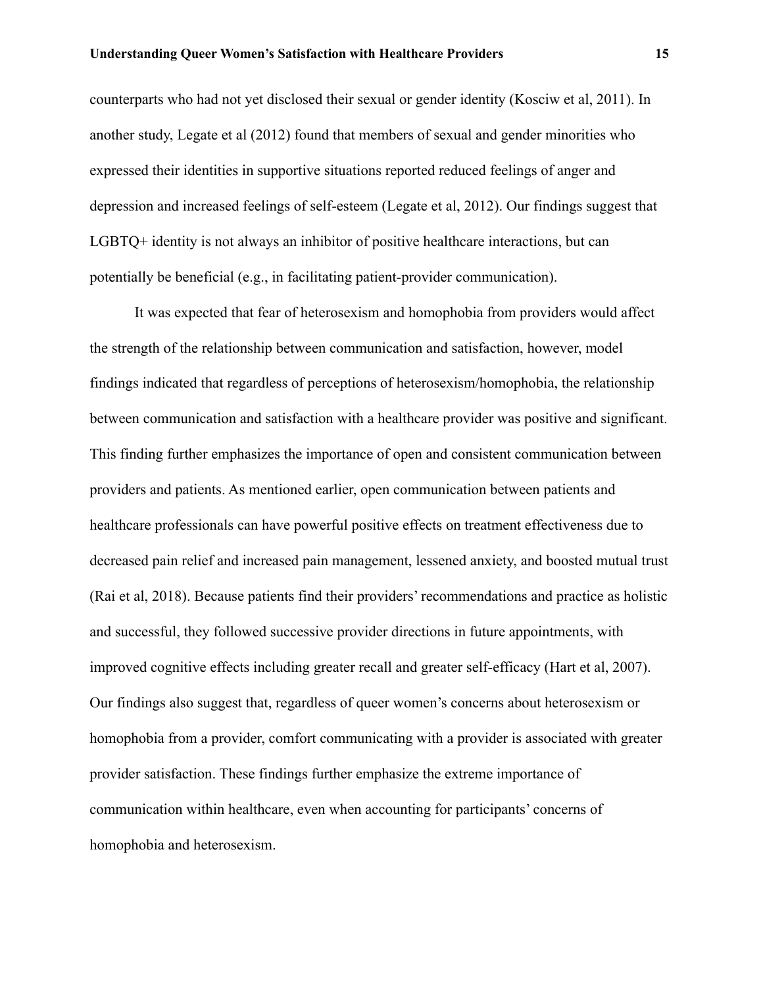counterparts who had not yet disclosed their sexual or gender identity (Kosciw et al, 2011). In another study, Legate et al (2012) found that members of sexual and gender minorities who expressed their identities in supportive situations reported reduced feelings of anger and depression and increased feelings of self-esteem (Legate et al, 2012). Our findings suggest that LGBTQ+ identity is not always an inhibitor of positive healthcare interactions, but can potentially be beneficial (e.g., in facilitating patient-provider communication).

It was expected that fear of heterosexism and homophobia from providers would affect the strength of the relationship between communication and satisfaction, however, model findings indicated that regardless of perceptions of heterosexism/homophobia, the relationship between communication and satisfaction with a healthcare provider was positive and significant. This finding further emphasizes the importance of open and consistent communication between providers and patients. As mentioned earlier, open communication between patients and healthcare professionals can have powerful positive effects on treatment effectiveness due to decreased pain relief and increased pain management, lessened anxiety, and boosted mutual trust (Rai et al, 2018). Because patients find their providers' recommendations and practice as holistic and successful, they followed successive provider directions in future appointments, with improved cognitive effects including greater recall and greater self-efficacy (Hart et al, 2007). Our findings also suggest that, regardless of queer women's concerns about heterosexism or homophobia from a provider, comfort communicating with a provider is associated with greater provider satisfaction. These findings further emphasize the extreme importance of communication within healthcare, even when accounting for participants' concerns of homophobia and heterosexism.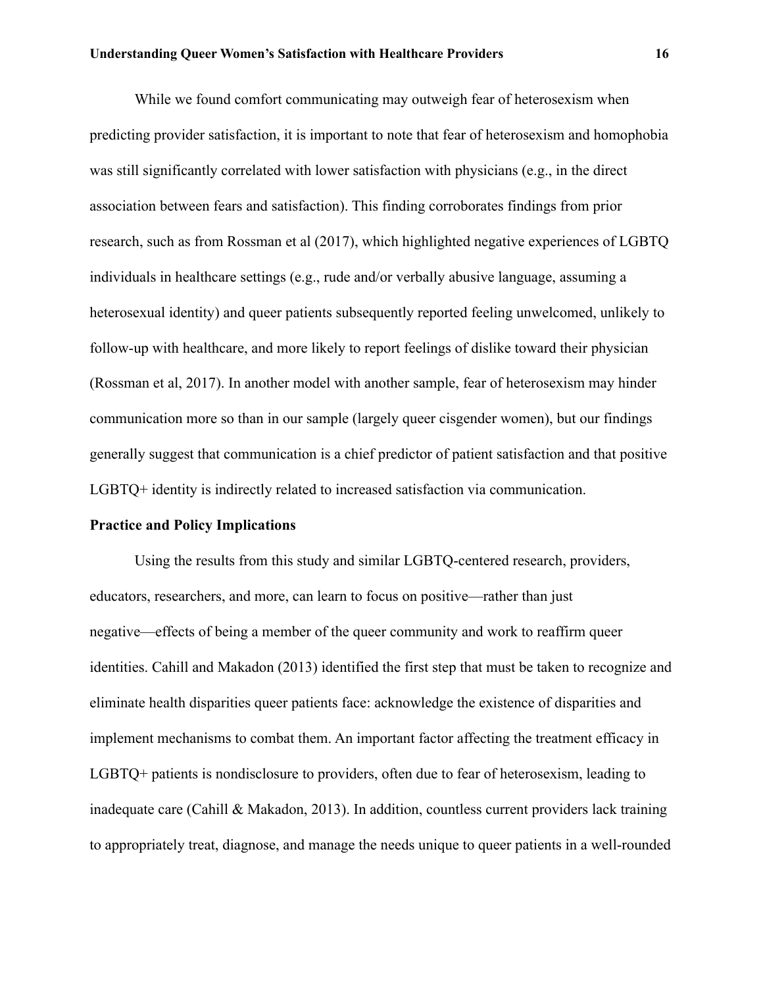While we found comfort communicating may outweigh fear of heterosexism when predicting provider satisfaction, it is important to note that fear of heterosexism and homophobia was still significantly correlated with lower satisfaction with physicians (e.g., in the direct association between fears and satisfaction). This finding corroborates findings from prior research, such as from Rossman et al (2017), which highlighted negative experiences of LGBTQ individuals in healthcare settings (e.g., rude and/or verbally abusive language, assuming a heterosexual identity) and queer patients subsequently reported feeling unwelcomed, unlikely to follow-up with healthcare, and more likely to report feelings of dislike toward their physician (Rossman et al, 2017). In another model with another sample, fear of heterosexism may hinder communication more so than in our sample (largely queer cisgender women), but our findings generally suggest that communication is a chief predictor of patient satisfaction and that positive LGBTQ+ identity is indirectly related to increased satisfaction via communication.

## **Practice and Policy Implications**

Using the results from this study and similar LGBTQ-centered research, providers, educators, researchers, and more, can learn to focus on positive—rather than just negative—effects of being a member of the queer community and work to reaffirm queer identities. Cahill and Makadon (2013) identified the first step that must be taken to recognize and eliminate health disparities queer patients face: acknowledge the existence of disparities and implement mechanisms to combat them. An important factor affecting the treatment efficacy in LGBTQ+ patients is nondisclosure to providers, often due to fear of heterosexism, leading to inadequate care (Cahill & Makadon, 2013). In addition, countless current providers lack training to appropriately treat, diagnose, and manage the needs unique to queer patients in a well-rounded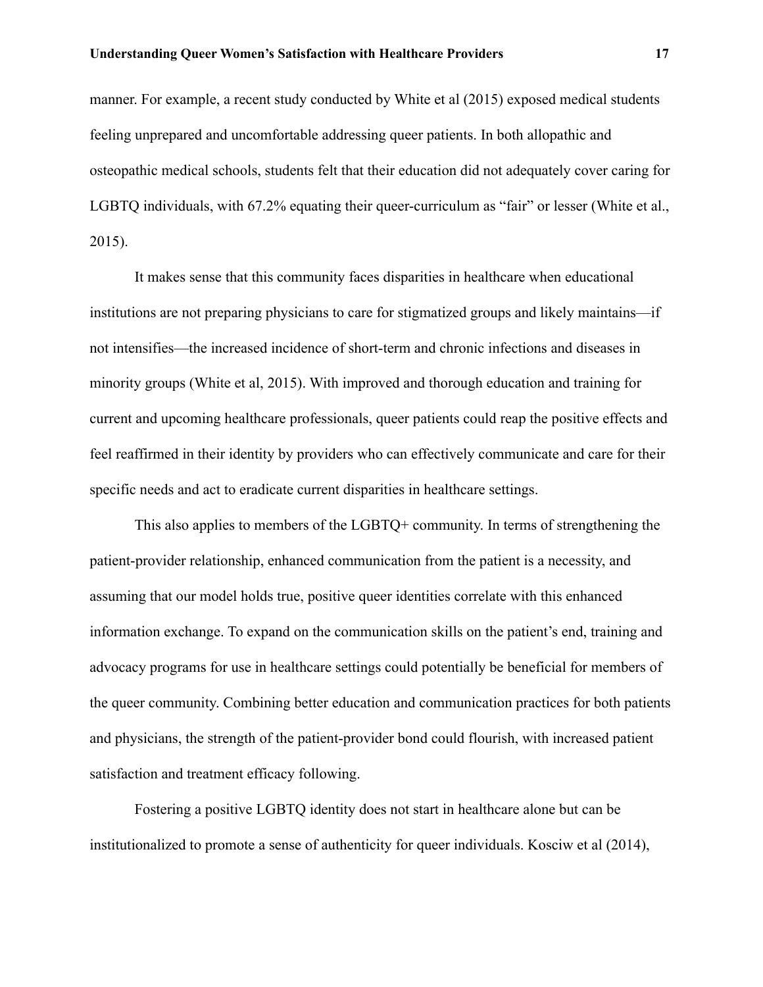manner. For example, a recent study conducted by White et al (2015) exposed medical students feeling unprepared and uncomfortable addressing queer patients. In both allopathic and osteopathic medical schools, students felt that their education did not adequately cover caring for LGBTQ individuals, with 67.2% equating their queer-curriculum as "fair" or lesser (White et al., 2015).

It makes sense that this community faces disparities in healthcare when educational institutions are not preparing physicians to care for stigmatized groups and likely maintains—if not intensifies—the increased incidence of short-term and chronic infections and diseases in minority groups (White et al, 2015). With improved and thorough education and training for current and upcoming healthcare professionals, queer patients could reap the positive effects and feel reaffirmed in their identity by providers who can effectively communicate and care for their specific needs and act to eradicate current disparities in healthcare settings.

This also applies to members of the LGBTQ+ community. In terms of strengthening the patient-provider relationship, enhanced communication from the patient is a necessity, and assuming that our model holds true, positive queer identities correlate with this enhanced information exchange. To expand on the communication skills on the patient's end, training and advocacy programs for use in healthcare settings could potentially be beneficial for members of the queer community. Combining better education and communication practices for both patients and physicians, the strength of the patient-provider bond could flourish, with increased patient satisfaction and treatment efficacy following.

Fostering a positive LGBTQ identity does not start in healthcare alone but can be institutionalized to promote a sense of authenticity for queer individuals. Kosciw et al (2014),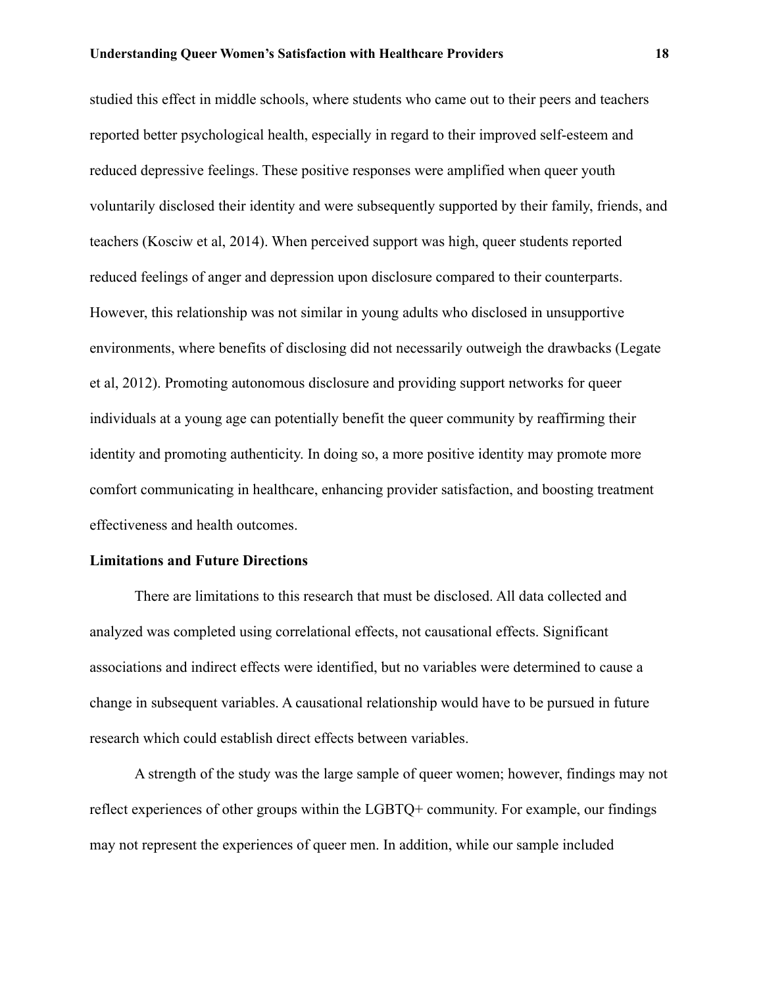studied this effect in middle schools, where students who came out to their peers and teachers reported better psychological health, especially in regard to their improved self-esteem and reduced depressive feelings. These positive responses were amplified when queer youth voluntarily disclosed their identity and were subsequently supported by their family, friends, and teachers (Kosciw et al, 2014). When perceived support was high, queer students reported reduced feelings of anger and depression upon disclosure compared to their counterparts. However, this relationship was not similar in young adults who disclosed in unsupportive environments, where benefits of disclosing did not necessarily outweigh the drawbacks (Legate et al, 2012). Promoting autonomous disclosure and providing support networks for queer individuals at a young age can potentially benefit the queer community by reaffirming their identity and promoting authenticity. In doing so, a more positive identity may promote more comfort communicating in healthcare, enhancing provider satisfaction, and boosting treatment effectiveness and health outcomes.

## **Limitations and Future Directions**

There are limitations to this research that must be disclosed. All data collected and analyzed was completed using correlational effects, not causational effects. Significant associations and indirect effects were identified, but no variables were determined to cause a change in subsequent variables. A causational relationship would have to be pursued in future research which could establish direct effects between variables.

A strength of the study was the large sample of queer women; however, findings may not reflect experiences of other groups within the LGBTQ+ community. For example, our findings may not represent the experiences of queer men. In addition, while our sample included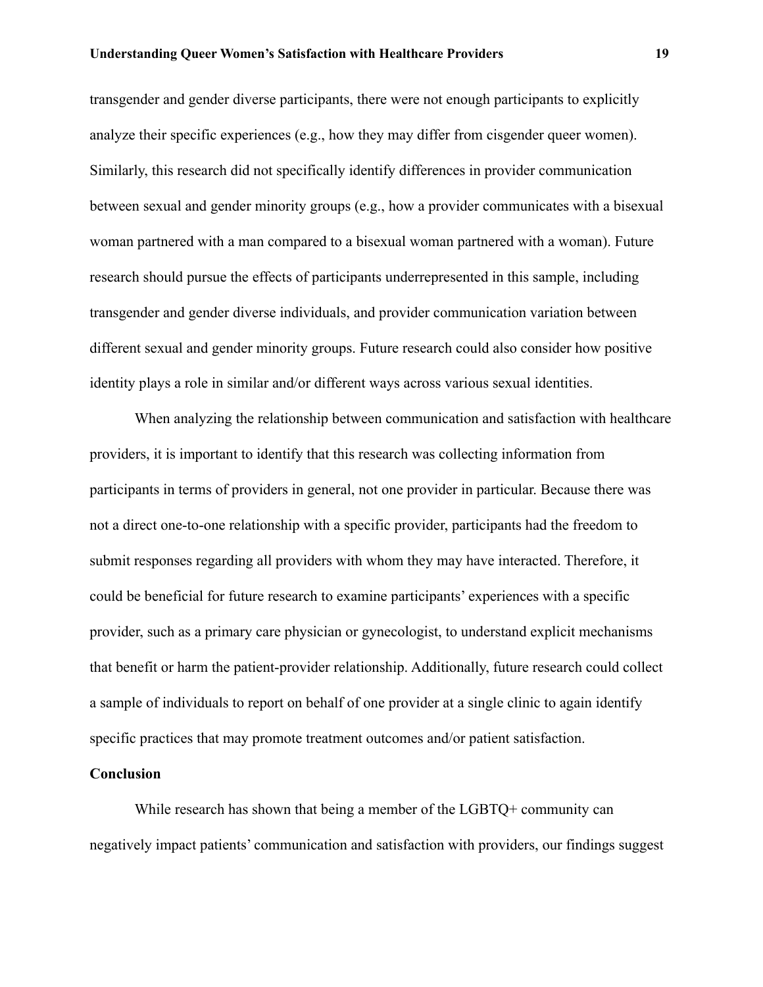transgender and gender diverse participants, there were not enough participants to explicitly analyze their specific experiences (e.g., how they may differ from cisgender queer women). Similarly, this research did not specifically identify differences in provider communication between sexual and gender minority groups (e.g., how a provider communicates with a bisexual woman partnered with a man compared to a bisexual woman partnered with a woman). Future research should pursue the effects of participants underrepresented in this sample, including transgender and gender diverse individuals, and provider communication variation between different sexual and gender minority groups. Future research could also consider how positive identity plays a role in similar and/or different ways across various sexual identities.

When analyzing the relationship between communication and satisfaction with healthcare providers, it is important to identify that this research was collecting information from participants in terms of providers in general, not one provider in particular. Because there was not a direct one-to-one relationship with a specific provider, participants had the freedom to submit responses regarding all providers with whom they may have interacted. Therefore, it could be beneficial for future research to examine participants' experiences with a specific provider, such as a primary care physician or gynecologist, to understand explicit mechanisms that benefit or harm the patient-provider relationship. Additionally, future research could collect a sample of individuals to report on behalf of one provider at a single clinic to again identify specific practices that may promote treatment outcomes and/or patient satisfaction.

## **Conclusion**

While research has shown that being a member of the LGBTQ+ community can negatively impact patients' communication and satisfaction with providers, our findings suggest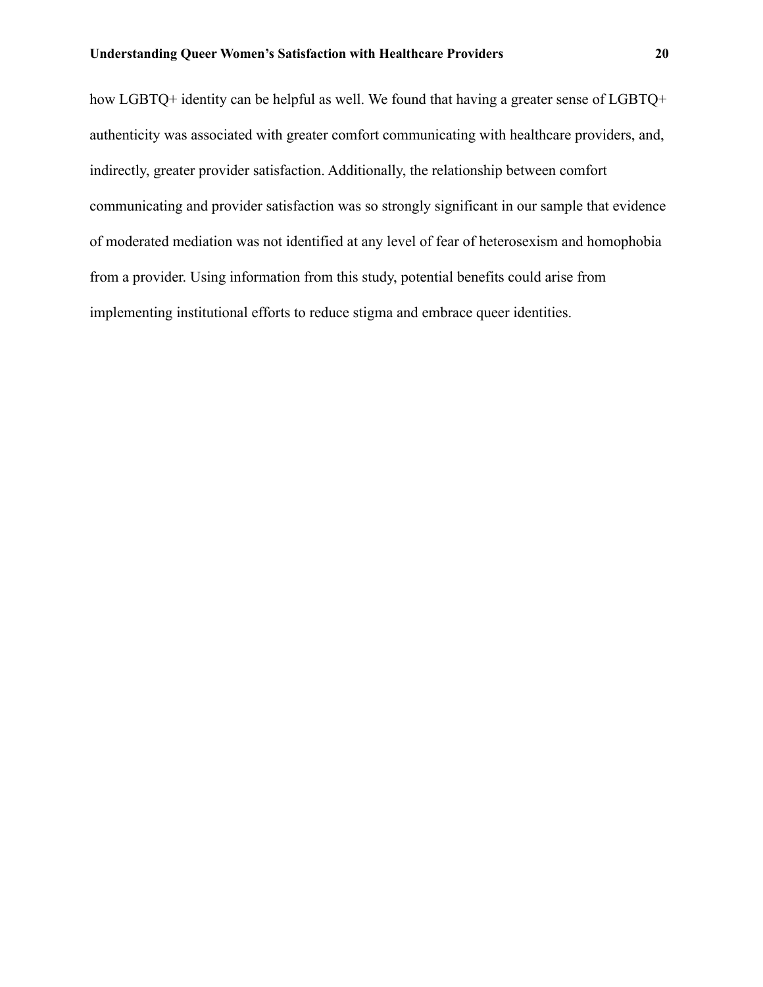how LGBTQ+ identity can be helpful as well. We found that having a greater sense of LGBTQ+ authenticity was associated with greater comfort communicating with healthcare providers, and, indirectly, greater provider satisfaction. Additionally, the relationship between comfort communicating and provider satisfaction was so strongly significant in our sample that evidence of moderated mediation was not identified at any level of fear of heterosexism and homophobia from a provider. Using information from this study, potential benefits could arise from implementing institutional efforts to reduce stigma and embrace queer identities.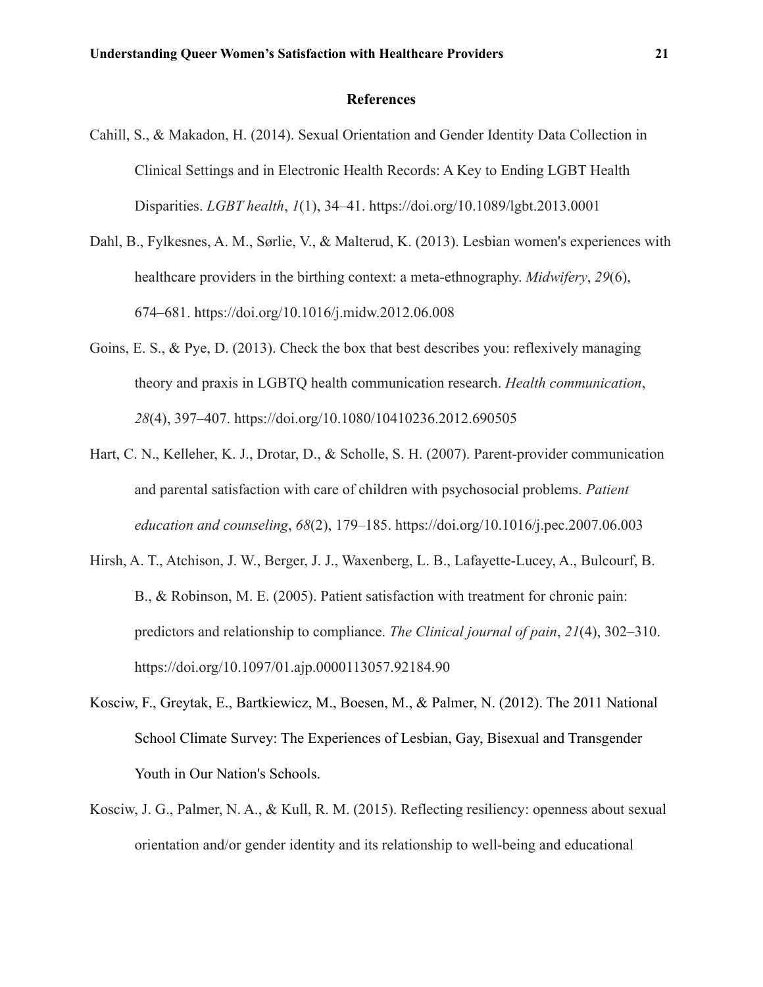## **References**

- Cahill, S., & Makadon, H. (2014). Sexual Orientation and Gender Identity Data Collection in Clinical Settings and in Electronic Health Records: A Key to Ending LGBT Health Disparities. *LGBT health*, *1*(1), 34–41. https://doi.org/10.1089/lgbt.2013.0001
- Dahl, B., Fylkesnes, A. M., Sørlie, V., & Malterud, K. (2013). Lesbian women's experiences with healthcare providers in the birthing context: a meta-ethnography. *Midwifery*, *29*(6), 674–681. https://doi.org/10.1016/j.midw.2012.06.008
- Goins, E. S., & Pye, D. (2013). Check the box that best describes you: reflexively managing theory and praxis in LGBTQ health communication research. *Health communication*, *28*(4), 397–407. https://doi.org/10.1080/10410236.2012.690505
- Hart, C. N., Kelleher, K. J., Drotar, D., & Scholle, S. H. (2007). Parent-provider communication and parental satisfaction with care of children with psychosocial problems. *Patient education and counseling*, *68*(2), 179–185. https://doi.org/10.1016/j.pec.2007.06.003
- Hirsh, A. T., Atchison, J. W., Berger, J. J., Waxenberg, L. B., Lafayette-Lucey, A., Bulcourf, B. B., & Robinson, M. E. (2005). Patient satisfaction with treatment for chronic pain: predictors and relationship to compliance. *The Clinical journal of pain*, *21*(4), 302–310. https://doi.org/10.1097/01.ajp.0000113057.92184.90
- Kosciw, F., Greytak, E., Bartkiewicz, M., Boesen, M., & Palmer, N. (2012). The 2011 National School Climate Survey: The Experiences of Lesbian, Gay, Bisexual and Transgender Youth in Our Nation's Schools.
- Kosciw, J. G., Palmer, N. A., & Kull, R. M. (2015). Reflecting resiliency: openness about sexual orientation and/or gender identity and its relationship to well-being and educational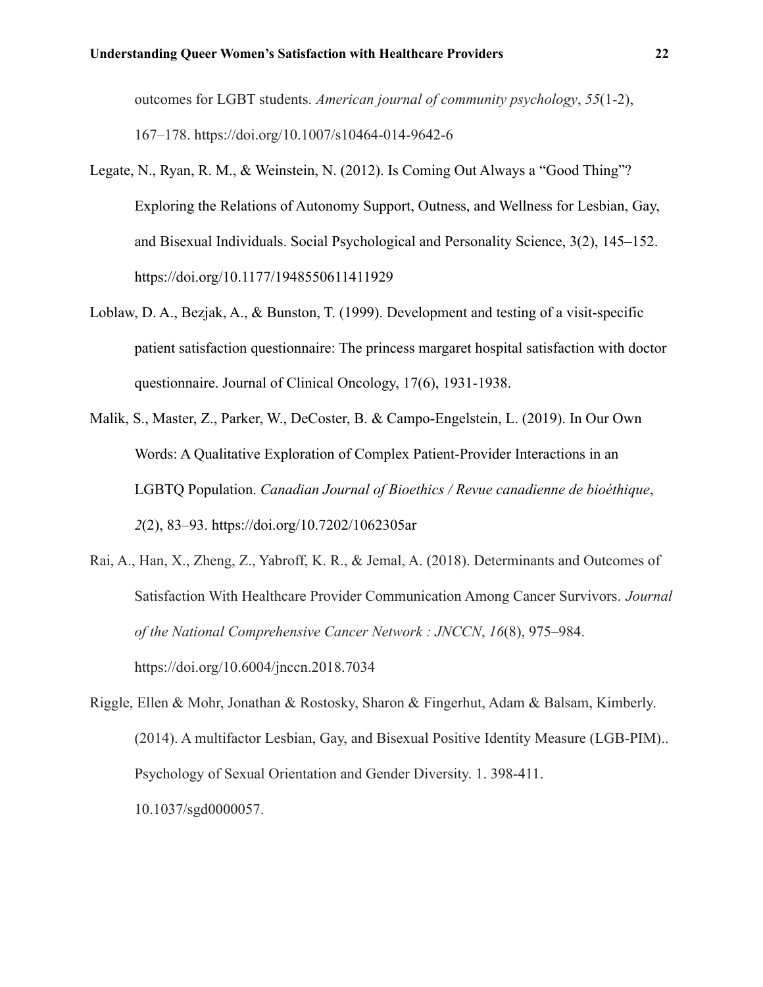outcomes for LGBT students. *American journal of community psychology*, *55*(1-2), 167–178. https://doi.org/10.1007/s10464-014-9642-6

- Legate, N., Ryan, R. M., & Weinstein, N. (2012). Is Coming Out Always a "Good Thing"? Exploring the Relations of Autonomy Support, Outness, and Wellness for Lesbian, Gay, and Bisexual Individuals. Social Psychological and Personality Science, 3(2), 145–152. https://doi.org/10.1177/1948550611411929
- Loblaw, D. A., Bezjak, A., & Bunston, T. (1999). Development and testing of a visit-specific patient satisfaction questionnaire: The princess margaret hospital satisfaction with doctor questionnaire. Journal of Clinical Oncology, 17(6), 1931-1938.
- Malik, S., Master, Z., Parker, W., DeCoster, B. & Campo-Engelstein, L. (2019). In Our Own Words: A Qualitative Exploration of Complex Patient-Provider Interactions in an LGBTQ Population. *Canadian Journal of Bioethics / Revue canadienne de bioéthique*, *2*(2), 83–93. https://doi.org/10.7202/1062305ar
- Rai, A., Han, X., Zheng, Z., Yabroff, K. R., & Jemal, A. (2018). Determinants and Outcomes of Satisfaction With Healthcare Provider Communication Among Cancer Survivors. *Journal of the National Comprehensive Cancer Network : JNCCN*, *16*(8), 975–984. https://doi.org/10.6004/jnccn.2018.7034
- Riggle, Ellen & Mohr, Jonathan & Rostosky, Sharon & Fingerhut, Adam & Balsam, Kimberly. (2014). A multifactor Lesbian, Gay, and Bisexual Positive Identity Measure (LGB-PIM).. Psychology of Sexual Orientation and Gender Diversity. 1. 398-411. 10.1037/sgd0000057.